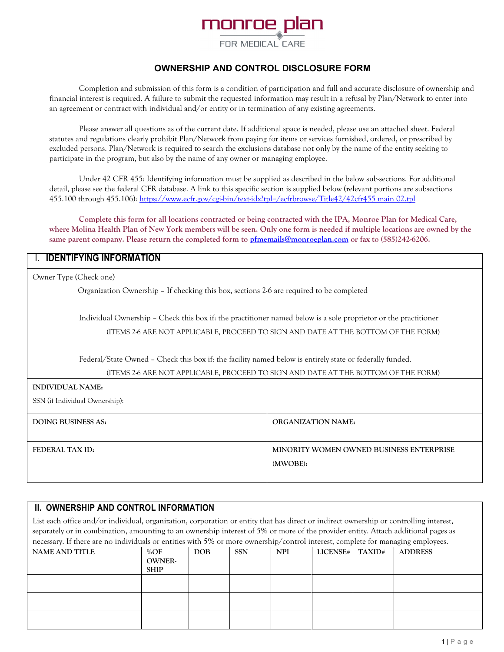

# **OWNERSHIP AND CONTROL DISCLOSURE FORM**

Completion and submission of this form is a condition of participation and full and accurate disclosure of ownership and financial interest is required. A failure to submit the requested information may result in a refusal by Plan/Network to enter into an agreement or contract with individual and/or entity or in termination of any existing agreements.

Please answer all questions as of the current date. If additional space is needed, please use an attached sheet. Federal statutes and regulations clearly prohibit Plan/Network from paying for items or services furnished, ordered, or prescribed by excluded persons. Plan/Network is required to search the exclusions database not only by the name of the entity seeking to participate in the program, but also by the name of any owner or managing employee.

Under 42 CFR 455: Identifying information must be supplied as described in the below sub-sections. For additional detail, please see the federal CFR database. A link to this specific section is supplied below (relevant portions are subsections 455.100 through 455.106): [https://www.ecfr.gov/cgi-bin/text-idx?tpl=/ecfrbrowse/Title42/42cfr455 main 02.tpl](https://www.ecfr.gov/cgi-bin/text-idx?tpl=/ecfrbrowse/Title42/42cfr455%20main%2002.tpl)

**Complete this form for all locations contracted or being contracted with the IPA, Monroe Plan for Medical Care, where Molina Health Plan of New York members will be seen. Only one form is needed if multiple locations are owned by the same parent company. Please return the completed form t[o pfmemails@monroeplan.com](mailto:pfmemails@monroeplan.com) or fax to (585)242-6206.**

# I. **IDENTIFYING INFORMATION**

Owner Type (Check one)

Organization Ownership – If checking this box, sections 2-6 are required to be completed

 Individual Ownership – Check this box if: the practitioner named below is a sole proprietor or the practitioner (ITEMS 2-6 ARE NOT APPLICABLE, PROCEED TO SIGN AND DATE AT THE BOTTOM OF THE FORM)

Federal/State Owned – Check this box if: the facility named below is entirely state or federally funded.

(ITEMS 2-6 ARE NOT APPLICABLE, PROCEED TO SIGN AND DATE AT THE BOTTOM OF THE FORM)

#### **INDIVIDUAL NAME:**

SSN (if Individual Ownership):

| DOING BUSINESS AS:     | ORGANIZATION NAME:                                   |
|------------------------|------------------------------------------------------|
| <b>FEDERAL TAX ID:</b> | MINORITY WOMEN OWNED BUSINESS ENTERPRISE<br>(MWOBE): |

| II. OWNERSHIP AND CONTROL INFORMATION                                                                                                  |               |            |            |            |          |        |                |  |  |
|----------------------------------------------------------------------------------------------------------------------------------------|---------------|------------|------------|------------|----------|--------|----------------|--|--|
| List each office and/or individual, organization, corporation or entity that has direct or indirect ownership or controlling interest, |               |            |            |            |          |        |                |  |  |
| separately or in combination, amounting to an ownership interest of 5% or more of the provider entity. Attach additional pages as      |               |            |            |            |          |        |                |  |  |
| necessary. If there are no individuals or entities with 5% or more ownership/control interest, complete for managing employees.        |               |            |            |            |          |        |                |  |  |
| <b>NAME AND TITLE</b>                                                                                                                  | % $OF$        | <b>DOB</b> | <b>SSN</b> | <b>NPI</b> | LICENSE# | TAXID# | <b>ADDRESS</b> |  |  |
|                                                                                                                                        | <b>OWNER-</b> |            |            |            |          |        |                |  |  |
|                                                                                                                                        | <b>SHIP</b>   |            |            |            |          |        |                |  |  |
|                                                                                                                                        |               |            |            |            |          |        |                |  |  |
|                                                                                                                                        |               |            |            |            |          |        |                |  |  |
|                                                                                                                                        |               |            |            |            |          |        |                |  |  |
|                                                                                                                                        |               |            |            |            |          |        |                |  |  |
|                                                                                                                                        |               |            |            |            |          |        |                |  |  |
|                                                                                                                                        |               |            |            |            |          |        |                |  |  |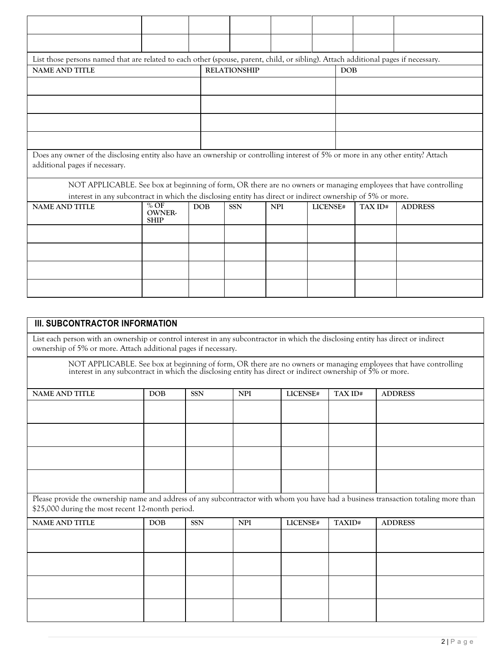| List those persons named that are related to each other (spouse, parent, child, or sibling). Attach additional pages if necessary.<br><b>NAME AND TITLE</b>                                         |                                 |            | <b>RELATIONSHIP</b> |            |          | <b>DOB</b> |         |                                                                                                                  |
|-----------------------------------------------------------------------------------------------------------------------------------------------------------------------------------------------------|---------------------------------|------------|---------------------|------------|----------|------------|---------|------------------------------------------------------------------------------------------------------------------|
|                                                                                                                                                                                                     |                                 |            |                     |            |          |            |         |                                                                                                                  |
|                                                                                                                                                                                                     |                                 |            |                     |            |          |            |         |                                                                                                                  |
|                                                                                                                                                                                                     |                                 |            |                     |            |          |            |         |                                                                                                                  |
|                                                                                                                                                                                                     |                                 |            |                     |            |          |            |         |                                                                                                                  |
|                                                                                                                                                                                                     |                                 |            |                     |            |          |            |         |                                                                                                                  |
|                                                                                                                                                                                                     |                                 |            |                     |            |          |            |         |                                                                                                                  |
| Does any owner of the disclosing entity also have an ownership or controlling interest of 5% or more in any other entity? Attach                                                                    |                                 |            |                     |            |          |            |         |                                                                                                                  |
| additional pages if necessary.                                                                                                                                                                      |                                 |            |                     |            |          |            |         |                                                                                                                  |
|                                                                                                                                                                                                     |                                 |            |                     |            |          |            |         |                                                                                                                  |
|                                                                                                                                                                                                     |                                 |            |                     |            |          |            |         | NOT APPLICABLE. See box at beginning of form, OR there are no owners or managing employees that have controlling |
| interest in any subcontract in which the disclosing entity has direct or indirect ownership of 5% or more.                                                                                          |                                 |            |                     |            |          |            |         |                                                                                                                  |
| <b>NAME AND TITLE</b>                                                                                                                                                                               | $%$ OF<br>OWNER-<br><b>SHIP</b> | <b>DOB</b> | <b>SSN</b>          | <b>NPI</b> | LICENSE# |            | TAX ID# | <b>ADDRESS</b>                                                                                                   |
|                                                                                                                                                                                                     |                                 |            |                     |            |          |            |         |                                                                                                                  |
|                                                                                                                                                                                                     |                                 |            |                     |            |          |            |         |                                                                                                                  |
|                                                                                                                                                                                                     |                                 |            |                     |            |          |            |         |                                                                                                                  |
|                                                                                                                                                                                                     |                                 |            |                     |            |          |            |         |                                                                                                                  |
|                                                                                                                                                                                                     |                                 |            |                     |            |          |            |         |                                                                                                                  |
|                                                                                                                                                                                                     |                                 |            |                     |            |          |            |         |                                                                                                                  |
|                                                                                                                                                                                                     |                                 |            |                     |            |          |            |         |                                                                                                                  |
| III. SUBCONTRACTOR INFORMATION                                                                                                                                                                      |                                 |            |                     |            |          |            |         |                                                                                                                  |
|                                                                                                                                                                                                     |                                 |            |                     |            |          |            |         |                                                                                                                  |
| List each person with an ownership or control interest in any subcontractor in which the disclosing entity has direct or indirect<br>ownership of 5% or more. Attach additional pages if necessary. |                                 |            |                     |            |          |            |         |                                                                                                                  |
| interest in any subcontract in which the disclosing entity has direct or indirect ownership of 5% or more.                                                                                          |                                 |            |                     |            |          |            |         | NOT APPLICABLE. See box at beginning of form, OR there are no owners or managing employees that have controlling |
| <b>NAME AND TITLE</b>                                                                                                                                                                               | <b>DOB</b>                      | <b>SSN</b> | <b>NPI</b>          | LICENSE#   |          | TAX ID#    |         | <b>ADDRESS</b>                                                                                                   |
|                                                                                                                                                                                                     |                                 |            |                     |            |          |            |         |                                                                                                                  |
|                                                                                                                                                                                                     |                                 |            |                     |            |          |            |         |                                                                                                                  |
|                                                                                                                                                                                                     |                                 |            |                     |            |          |            |         |                                                                                                                  |
|                                                                                                                                                                                                     |                                 |            |                     |            |          |            |         |                                                                                                                  |

| <b>NAME AND TITLE</b>                                                                                                               | <b>DOB</b> | <b>SSN</b>  | <b>NPI</b> | LICENSE# | TAX ID# | <b>ADDRESS</b> |  |
|-------------------------------------------------------------------------------------------------------------------------------------|------------|-------------|------------|----------|---------|----------------|--|
|                                                                                                                                     |            |             |            |          |         |                |  |
|                                                                                                                                     |            |             |            |          |         |                |  |
|                                                                                                                                     |            |             |            |          |         |                |  |
|                                                                                                                                     |            |             |            |          |         |                |  |
|                                                                                                                                     |            |             |            |          |         |                |  |
|                                                                                                                                     |            |             |            |          |         |                |  |
|                                                                                                                                     |            |             |            |          |         |                |  |
|                                                                                                                                     |            |             |            |          |         |                |  |
|                                                                                                                                     |            |             |            |          |         |                |  |
| Please provide the ownership name and address of any subcontractor with whom you have had a business transaction totaling more than |            |             |            |          |         |                |  |
| \$25,000 during the most recent 12-month period.                                                                                    |            |             |            |          |         |                |  |
| NAME AND TITLE                                                                                                                      | <b>DOB</b> | ${\rm SSN}$ | <b>NPI</b> | LICENSE# | TAXID#  | <b>ADDRESS</b> |  |
|                                                                                                                                     |            |             |            |          |         |                |  |
|                                                                                                                                     |            |             |            |          |         |                |  |
|                                                                                                                                     |            |             |            |          |         |                |  |
|                                                                                                                                     |            |             |            |          |         |                |  |
|                                                                                                                                     |            |             |            |          |         |                |  |
|                                                                                                                                     |            |             |            |          |         |                |  |
|                                                                                                                                     |            |             |            |          |         |                |  |
|                                                                                                                                     |            |             |            |          |         |                |  |